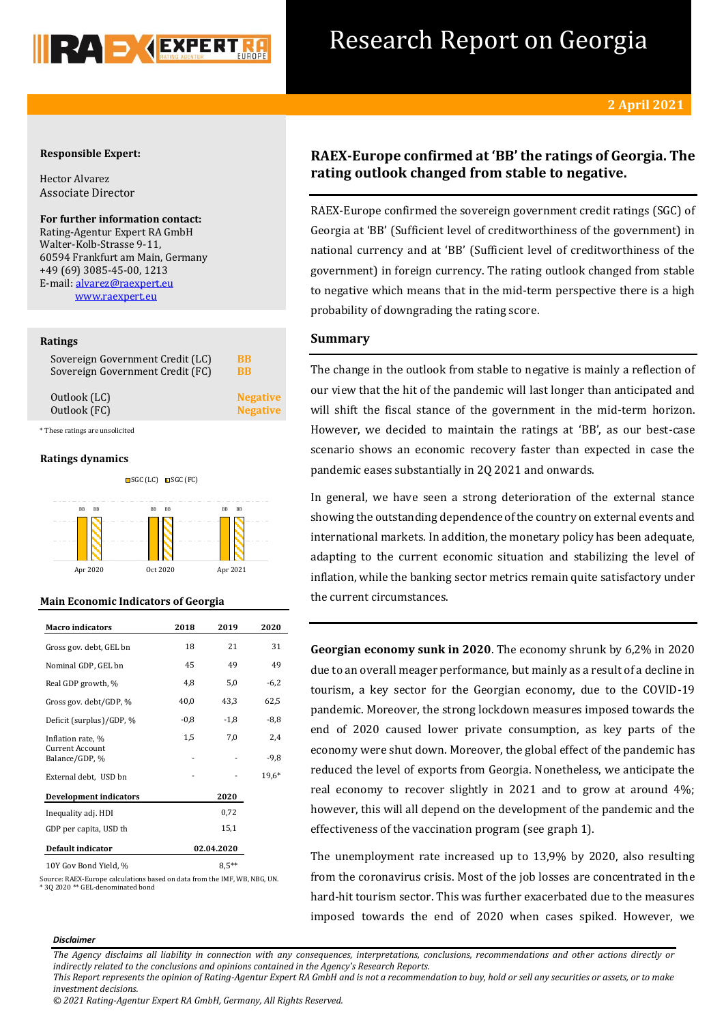

## Research Report on Georgia

## **Responsible Expert:**

Hector Alvarez Associate Director

**For further information contact:** Rating-Agentur Expert RA GmbH Walter-Kolb-Strasse 9-11, 60594 Frankfurt am Main, Germany +49 (69) 3085-45-00, 1213 E-mail[: alvarez@raexpert.eu](mailto:alvarez@raexpert.eu) [www.raexpert.eu](http://raexpert.eu/)

## **Ratings**

| Sovereign Government Credit (LC) | BB              |
|----------------------------------|-----------------|
| Sovereign Government Credit (FC) | <b>BB</b>       |
| Outlook (LC)                     | <b>Negative</b> |
| Outlook (FC)                     | <b>Negative</b> |

\* These ratings are unsolicited

## **Ratings dynamics**



## **Main Economic Indicators of Georgia**

| <b>Macro</b> indicators                  | 2018       | 2019    | 2020    |  |
|------------------------------------------|------------|---------|---------|--|
| Gross gov. debt, GEL bn                  | 18         | 21      | 31      |  |
| Nominal GDP, GEL bn                      | 45         | 49      | 49      |  |
| Real GDP growth, %                       | 4,8        | 5,0     | $-6,2$  |  |
| Gross gov. debt/GDP, %                   | 40,0       | 43,3    | 62,5    |  |
| Deficit (surplus)/GDP, %                 | $-0.8$     | $-1,8$  | $-8,8$  |  |
| Inflation rate, %                        | 1,5        | 7,0     | 2,4     |  |
| <b>Current Account</b><br>Balance/GDP, % |            |         | $-9,8$  |  |
| External debt, USD bn                    |            |         | $19.6*$ |  |
| <b>Development indicators</b>            | 2020       |         |         |  |
| Inequality adj. HDI                      |            | 0,72    |         |  |
| GDP per capita, USD th                   |            | 15,1    |         |  |
| Default indicator                        | 02.04.2020 |         |         |  |
| 10Y Gov Bond Yield, %                    |            | $8.5**$ |         |  |

Source: RAEX-Europe calculations based on data from the IMF, WB, NBG, UN. \* 3Q 2020 \*\* GEL-denominated bond

## **RAEX-Europe confirmed at 'BB' the ratings of Georgia. The rating outlook changed from stable to negative.**

RAEX-Europe confirmed the sovereign government credit ratings (SGC) of Georgia at 'BB' (Sufficient level of creditworthiness of the government) in national currency and at 'BB' (Sufficient level of creditworthiness of the government) in foreign currency. The rating outlook changed from stable to negative which means that in the mid-term perspective there is a high probability of downgrading the rating score.

## **Summary**

The change in the outlook from stable to negative is mainly a reflection of our view that the hit of the pandemic will last longer than anticipated and will shift the fiscal stance of the government in the mid-term horizon. However, we decided to maintain the ratings at 'BB', as our best-case scenario shows an economic recovery faster than expected in case the pandemic eases substantially in 2Q 2021 and onwards.

In general, we have seen a strong deterioration of the external stance showing the outstanding dependence of the country on external events and international markets. In addition, the monetary policy has been adequate, adapting to the current economic situation and stabilizing the level of inflation, while the banking sector metrics remain quite satisfactory under the current circumstances.

**Georgian economy sunk in 2020**. The economy shrunk by 6,2% in 2020 due to an overall meager performance, but mainly as a result of a decline in tourism, a key sector for the Georgian economy, due to the COVID-19 pandemic. Moreover, the strong lockdown measures imposed towards the end of 2020 caused lower private consumption, as key parts of the economy were shut down. Moreover, the global effect of the pandemic has reduced the level of exports from Georgia. Nonetheless, we anticipate the real economy to recover slightly in 2021 and to grow at around 4%; however, this will all depend on the development of the pandemic and the effectiveness of the vaccination program (see graph 1).

The unemployment rate increased up to 13,9% by 2020, also resulting from the coronavirus crisis. Most of the job losses are concentrated in the hard-hit tourism sector. This was further exacerbated due to the measures imposed towards the end of 2020 when cases spiked. However, we

### *Disclaimer*

*The Agency disclaims all liability in connection with any consequences, interpretations, conclusions, recommendations and other actions directly or indirectly related to the conclusions and opinions contained in the Agency's Research Reports. This Report represents the opinion of Rating-Agentur Expert RA GmbH and is not a recommendation to buy, hold or sell any securities or assets, or to make* 

*© 2021 Rating-Agentur Expert RA GmbH, Germany, All Rights Reserved.*

*investment decisions.*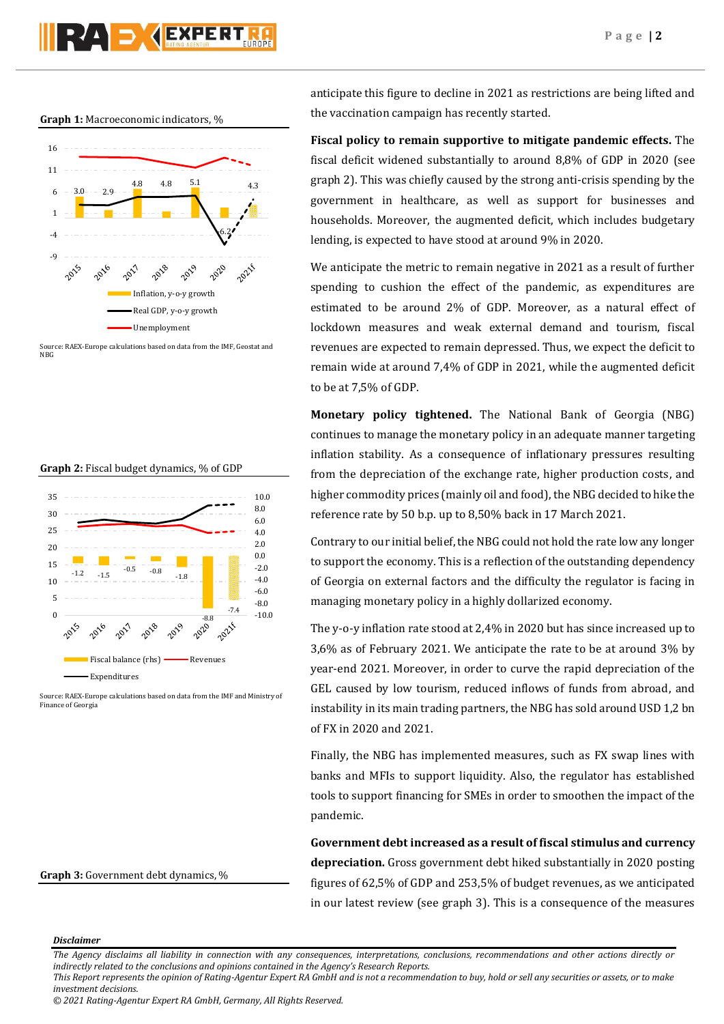# RAD JAEXPERT

## **Graph 1:** Macroeconomic indicators, %



Source: RAEX-Europe calculations based on data from the IMF, Geostat and N<sub>BC</sub>

#### **Graph 2:** Fiscal budget dynamics, % of GDP



Source: RAEX-Europe calculations based on data from the IMF and Ministry of Finance of Georgia

## **Graph 3:** Government debt dynamics, %

anticipate this figure to decline in 2021 as restrictions are being lifted and the vaccination campaign has recently started.

**Fiscal policy to remain supportive to mitigate pandemic effects.** The fiscal deficit widened substantially to around 8,8% of GDP in 2020 (see graph 2). This was chiefly caused by the strong anti-crisis spending by the government in healthcare, as well as support for businesses and households. Moreover, the augmented deficit, which includes budgetary lending, is expected to have stood at around 9% in 2020.

We anticipate the metric to remain negative in 2021 as a result of further spending to cushion the effect of the pandemic, as expenditures are estimated to be around 2% of GDP. Moreover, as a natural effect of lockdown measures and weak external demand and tourism, fiscal revenues are expected to remain depressed. Thus, we expect the deficit to remain wide at around 7,4% of GDP in 2021, while the augmented deficit to be at 7,5% of GDP.

**Monetary policy tightened.** The National Bank of Georgia (NBG) continues to manage the monetary policy in an adequate manner targeting inflation stability. As a consequence of inflationary pressures resulting from the depreciation of the exchange rate, higher production costs, and higher commodity prices (mainly oil and food), the NBG decided to hike the reference rate by 50 b.p. up to 8,50% back in 17 March 2021.

Contrary to our initial belief, the NBG could not hold the rate low any longer to support the economy. This is a reflection of the outstanding dependency of Georgia on external factors and the difficulty the regulator is facing in managing monetary policy in a highly dollarized economy.

The y-o-y inflation rate stood at 2,4% in 2020 but has since increased up to 3,6% as of February 2021. We anticipate the rate to be at around 3% by year-end 2021. Moreover, in order to curve the rapid depreciation of the GEL caused by low tourism, reduced inflows of funds from abroad, and instability in its main trading partners, the NBG has sold around USD 1,2 bn of FX in 2020 and 2021.

Finally, the NBG has implemented measures, such as FX swap lines with banks and MFIs to support liquidity. Also, the regulator has established tools to support financing for SMEs in order to smoothen the impact of the pandemic.

**Government debt increased as a result of fiscal stimulus and currency depreciation.** Gross government debt hiked substantially in 2020 posting figures of 62,5% of GDP and 253,5% of budget revenues, as we anticipated in our latest review (see graph 3). This is a consequence of the measures

## *Disclaimer*

*The Agency disclaims all liability in connection with any consequences, interpretations, conclusions, recommendations and other actions directly or indirectly related to the conclusions and opinions contained in the Agency's Research Reports.*

*This Report represents the opinion of Rating-Agentur Expert RA GmbH and is not a recommendation to buy, hold or sell any securities or assets, or to make investment decisions.*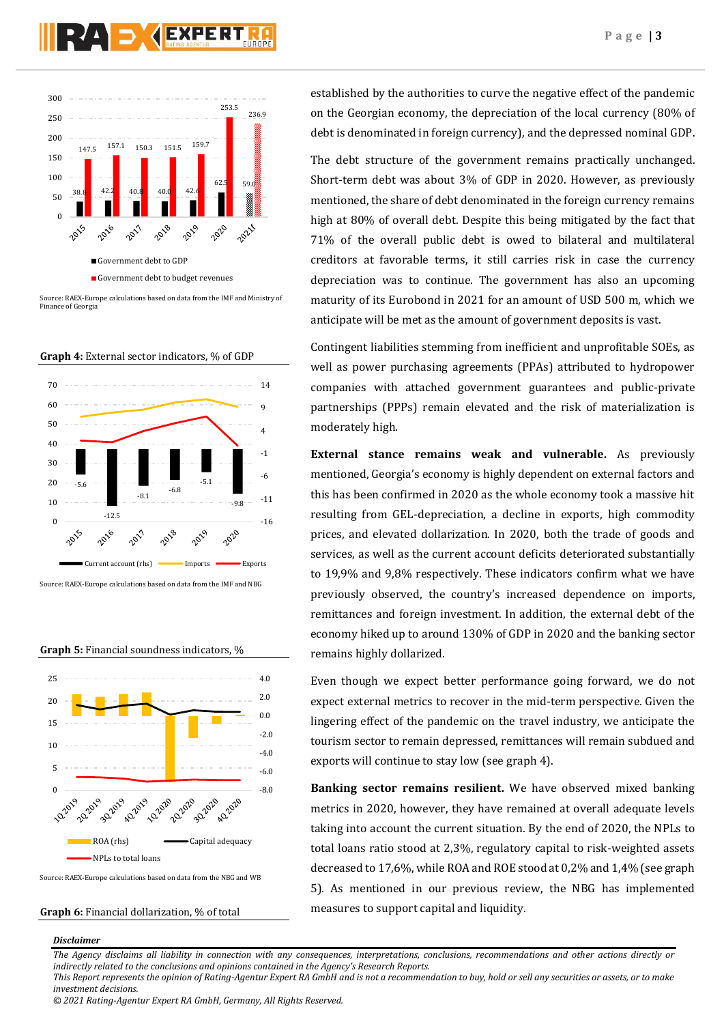



Source: RAEX-Europe calculations based on data from the IMF and Ministry of Finance of Georgia

**Graph 4:** External sector indicators, % of GDP



Source: RAEX-Europe calculations based on data from the IMF and NBG





Source: RAEX-Europe calculations based on data from the NBG and WB

## **Graph 6:** Financial dollarization, % of total

*Disclaimer* 

established by the authorities to curve the negative effect of the pandemic on the Georgian economy, the depreciation of the local currency (80% of debt is denominated in foreign currency), and the depressed nominal GDP.

The debt structure of the government remains practically unchanged. Short-term debt was about 3% of GDP in 2020. However, as previously mentioned, the share of debt denominated in the foreign currency remains high at 80% of overall debt. Despite this being mitigated by the fact that 71% of the overall public debt is owed to bilateral and multilateral creditors at favorable terms, it still carries risk in case the currency depreciation was to continue. The government has also an upcoming maturity of its Eurobond in 2021 for an amount of USD 500 m, which we anticipate will be met as the amount of government deposits is vast.

Contingent liabilities stemming from inefficient and unprofitable SOEs, as well as power purchasing agreements (PPAs) attributed to hydropower companies with attached government guarantees and public-private partnerships (PPPs) remain elevated and the risk of materialization is moderately high.

**External stance remains weak and vulnerable.** As previously mentioned, Georgia's economy is highly dependent on external factors and this has been confirmed in 2020 as the whole economy took a massive hit resulting from GEL-depreciation, a decline in exports, high commodity prices, and elevated dollarization. In 2020, both the trade of goods and services, as well as the current account deficits deteriorated substantially to 19,9% and 9,8% respectively. These indicators confirm what we have previously observed, the country's increased dependence on imports, remittances and foreign investment. In addition, the external debt of the economy hiked up to around 130% of GDP in 2020 and the banking sector remains highly dollarized.

Even though we expect better performance going forward, we do not expect external metrics to recover in the mid-term perspective. Given the lingering effect of the pandemic on the travel industry, we anticipate the tourism sector to remain depressed, remittances will remain subdued and exports will continue to stay low (see graph 4).

**Banking sector remains resilient.** We have observed mixed banking metrics in 2020, however, they have remained at overall adequate levels taking into account the current situation. By the end of 2020, the NPLs to total loans ratio stood at 2,3%, regulatory capital to risk-weighted assets decreased to 17,6%, while ROA and ROE stood at 0,2% and 1,4% (see graph 5). As mentioned in our previous review, the NBG has implemented measures to support capital and liquidity.

*The Agency disclaims all liability in connection with any consequences, interpretations, conclusions, recommendations and other actions directly or indirectly related to the conclusions and opinions contained in the Agency's Research Reports.*

*© 2021 Rating-Agentur Expert RA GmbH, Germany, All Rights Reserved.*

*This Report represents the opinion of Rating-Agentur Expert RA GmbH and is not a recommendation to buy, hold or sell any securities or assets, or to make investment decisions.*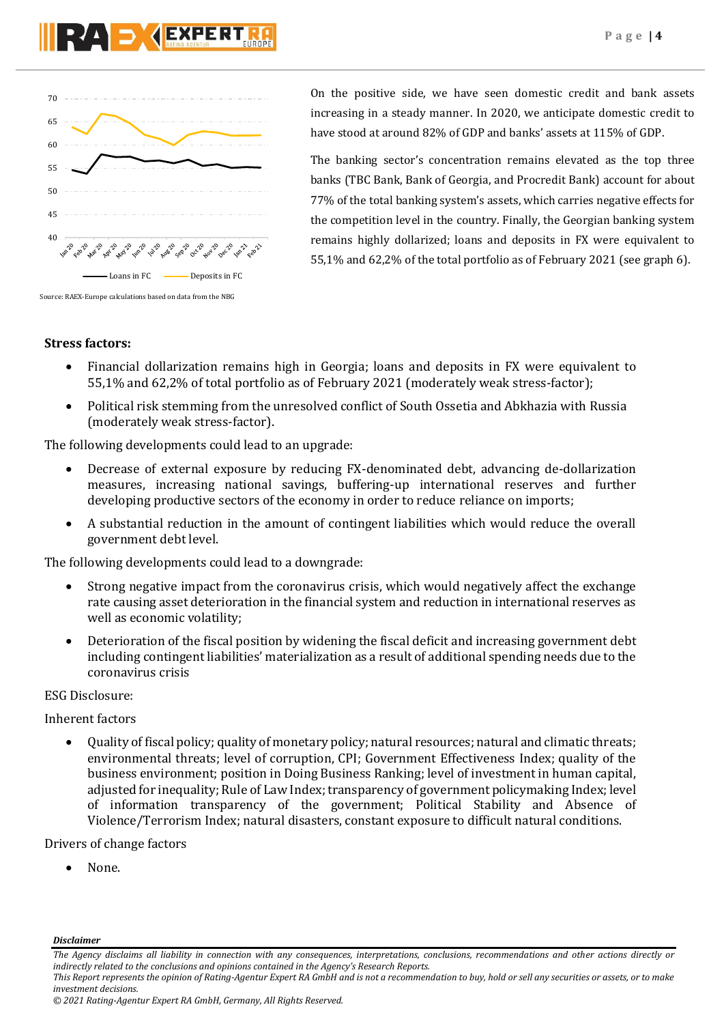

On the positive side, we have seen domestic credit and bank assets increasing in a steady manner. In 2020, we anticipate domestic credit to have stood at around 82% of GDP and banks' assets at 115% of GDP.

The banking sector's concentration remains elevated as the top three banks (TBC Bank, Bank of Georgia, and Procredit Bank) account for about 77% of the total banking system's assets, which carries negative effects for the competition level in the country. Finally, the Georgian banking system remains highly dollarized; loans and deposits in FX were equivalent to 55,1% and 62,2% of the total portfolio as of February 2021 (see graph 6).

## **Stress factors:**

- Financial dollarization remains high in Georgia; loans and deposits in FX were equivalent to 55,1% and 62,2% of total portfolio as of February 2021 (moderately weak stress-factor);
- Political risk stemming from the unresolved conflict of South Ossetia and Abkhazia with Russia (moderately weak stress-factor).

The following developments could lead to an upgrade:

- Decrease of external exposure by reducing FX-denominated debt, advancing de-dollarization measures, increasing national savings, buffering-up international reserves and further developing productive sectors of the economy in order to reduce reliance on imports;
- A substantial reduction in the amount of contingent liabilities which would reduce the overall government debt level.

The following developments could lead to a downgrade:

- Strong negative impact from the coronavirus crisis, which would negatively affect the exchange rate causing asset deterioration in the financial system and reduction in international reserves as well as economic volatility;
- Deterioration of the fiscal position by widening the fiscal deficit and increasing government debt including contingent liabilities' materialization as a result of additional spending needs due to the coronavirus crisis

## ESG Disclosure:

Inherent factors

 Quality of fiscal policy; quality of monetary policy; natural resources; natural and climatic threats; environmental threats; level of corruption, CPI; Government Effectiveness Index; quality of the business environment; position in Doing Business Ranking; level of investment in human capital, adjusted for inequality; Rule of Law Index; transparency of government policymaking Index; level of information transparency of the government; Political Stability and Absence of Violence/Terrorism Index; natural disasters, constant exposure to difficult natural conditions.

Drivers of change factors

None.

*Disclaimer* 

*The Agency disclaims all liability in connection with any consequences, interpretations, conclusions, recommendations and other actions directly or indirectly related to the conclusions and opinions contained in the Agency's Research Reports.*

*This Report represents the opinion of Rating-Agentur Expert RA GmbH and is not a recommendation to buy, hold or sell any securities or assets, or to make investment decisions.*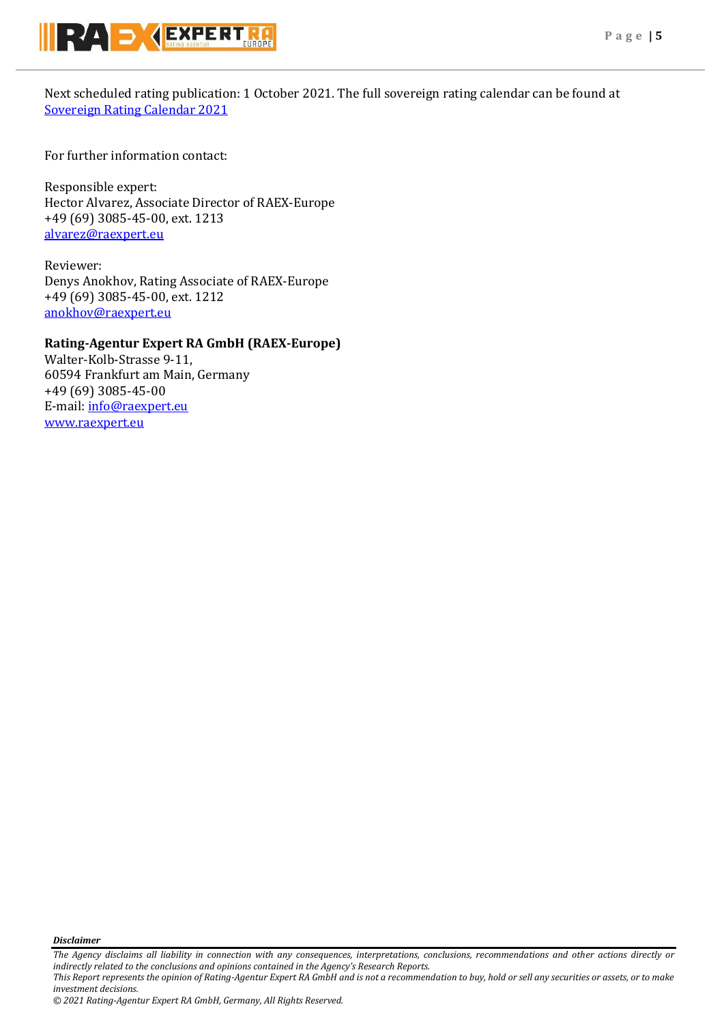

Next scheduled rating publication: 1 October 2021. The full sovereign rating calendar can be found at [Sovereign Rating Calendar 2021](https://raexpert.eu/sovereign/#conf-tab-5)

For further information contact:

Responsible expert: Hector Alvarez, Associate Director of RAEX-Europe +49 (69) 3085-45-00, ext. 1213 [alvarez@raexpert.eu](mailto:alvarez@raexpert.eu)

Reviewer: Denys Anokhov, Rating Associate of RAEX-Europe +49 (69) 3085-45-00, ext. 1212 [anokhov@raexpert.eu](mailto:anokhov@raexpert.eu)

## **Rating-Agentur Expert RA GmbH (RAEX-Europe)**

Walter-Kolb-Strasse 9-11, 60594 Frankfurt am Main, Germany +49 (69) 3085-45-00 E-mail[: info@raexpert.eu](mailto:info@raexpert.eu) [www.raexpert.eu](http://raexpert.eu/)

*Disclaimer* 

*The Agency disclaims all liability in connection with any consequences, interpretations, conclusions, recommendations and other actions directly or indirectly related to the conclusions and opinions contained in the Agency's Research Reports. This Report represents the opinion of Rating-Agentur Expert RA GmbH and is not a recommendation to buy, hold or sell any securities or assets, or to make investment decisions.*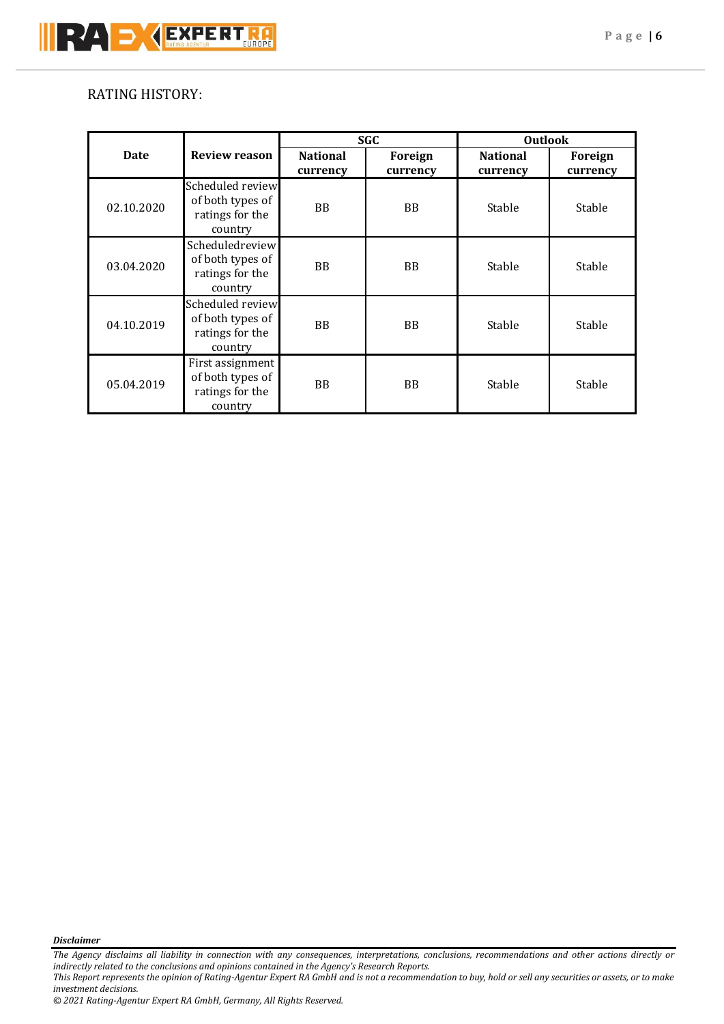## RATING HISTORY:

|             |                                                                    | <b>SGC</b>                  |                     | <b>Outlook</b>              |                     |
|-------------|--------------------------------------------------------------------|-----------------------------|---------------------|-----------------------------|---------------------|
| <b>Date</b> | <b>Review reason</b>                                               | <b>National</b><br>currency | Foreign<br>currency | <b>National</b><br>currency | Foreign<br>currency |
| 02.10.2020  | Scheduled review<br>of both types of<br>ratings for the<br>country | <b>BB</b>                   | <b>BB</b>           | Stable                      | Stable              |
| 03.04.2020  | Scheduledreview<br>of both types of<br>ratings for the<br>country  | <b>BB</b>                   | <b>BB</b>           | Stable                      | Stable              |
| 04.10.2019  | Scheduled review<br>of both types of<br>ratings for the<br>country | <b>BB</b>                   | <b>BB</b>           | Stable                      | Stable              |
| 05.04.2019  | First assignment<br>of both types of<br>ratings for the<br>country | <b>BB</b>                   | <b>BB</b>           | Stable                      | Stable              |

*Disclaimer* 

*The Agency disclaims all liability in connection with any consequences, interpretations, conclusions, recommendations and other actions directly or indirectly related to the conclusions and opinions contained in the Agency's Research Reports. This Report represents the opinion of Rating-Agentur Expert RA GmbH and is not a recommendation to buy, hold or sell any securities or assets, or to make* 

*investment decisions.*